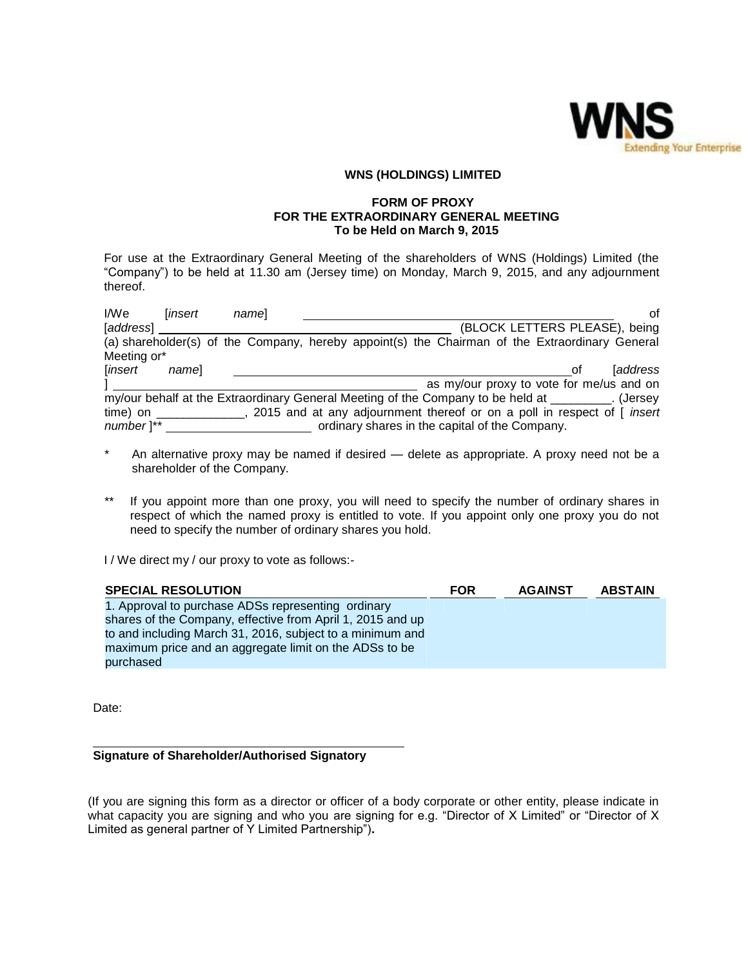

## **WNS (HOLDINGS) LIMITED**

### **FORM OF PROXY FOR THE EXTRAORDINARY GENERAL MEETING To be Held on March 9, 2015**

For use at the Extraordinary General Meeting of the shareholders of WNS (Holdings) Limited (the "Company") to be held at 11.30 am (Jersey time) on Monday, March 9, 2015, and any adjournment thereof.

| I/We                   | <i>linsert</i> | namel |                                                                                                   |                               | οf             |
|------------------------|----------------|-------|---------------------------------------------------------------------------------------------------|-------------------------------|----------------|
| [address]              |                |       |                                                                                                   | (BLOCK LETTERS PLEASE), being |                |
|                        |                |       | (a) shareholder(s) of the Company, hereby appoint(s) the Chairman of the Extraordinary General    |                               |                |
| Meeting or*            |                |       |                                                                                                   |                               |                |
| [insert                | namel          |       |                                                                                                   | 0t                            | <i>address</i> |
|                        |                |       | as my/our proxy to vote for me/us and on                                                          |                               |                |
|                        |                |       | my/our behalf at the Extraordinary General Meeting of the Company to be held at ________. (Jersey |                               |                |
| $time)$ on $\_\_$      |                |       | _, 2015 and at any adjournment thereof or on a poll in respect of [ <i>insert</i>                 |                               |                |
| $number$ <sup>**</sup> |                |       | ordinary shares in the capital of the Company.                                                    |                               |                |

- \* An alternative proxy may be named if desired delete as appropriate. A proxy need not be a shareholder of the Company.
- \*\* If you appoint more than one proxy, you will need to specify the number of ordinary shares in respect of which the named proxy is entitled to vote. If you appoint only one proxy you do not need to specify the number of ordinary shares you hold.

I / We direct my / our proxy to vote as follows:-

| <b>SPECIAL RESOLUTION</b>                                  | <b>FOR</b> | <b>AGAINST</b> | <b>ABSTAIN</b> |
|------------------------------------------------------------|------------|----------------|----------------|
| 1. Approval to purchase ADSs representing ordinary         |            |                |                |
| shares of the Company, effective from April 1, 2015 and up |            |                |                |
| to and including March 31, 2016, subject to a minimum and  |            |                |                |
| maximum price and an aggregate limit on the ADSs to be     |            |                |                |
| purchased                                                  |            |                |                |

Date:

## **Signature of Shareholder/Authorised Signatory**

(If you are signing this form as a director or officer of a body corporate or other entity, please indicate in what capacity you are signing and who you are signing for e.g. "Director of X Limited" or "Director of X Limited as general partner of Y Limited Partnership")**.**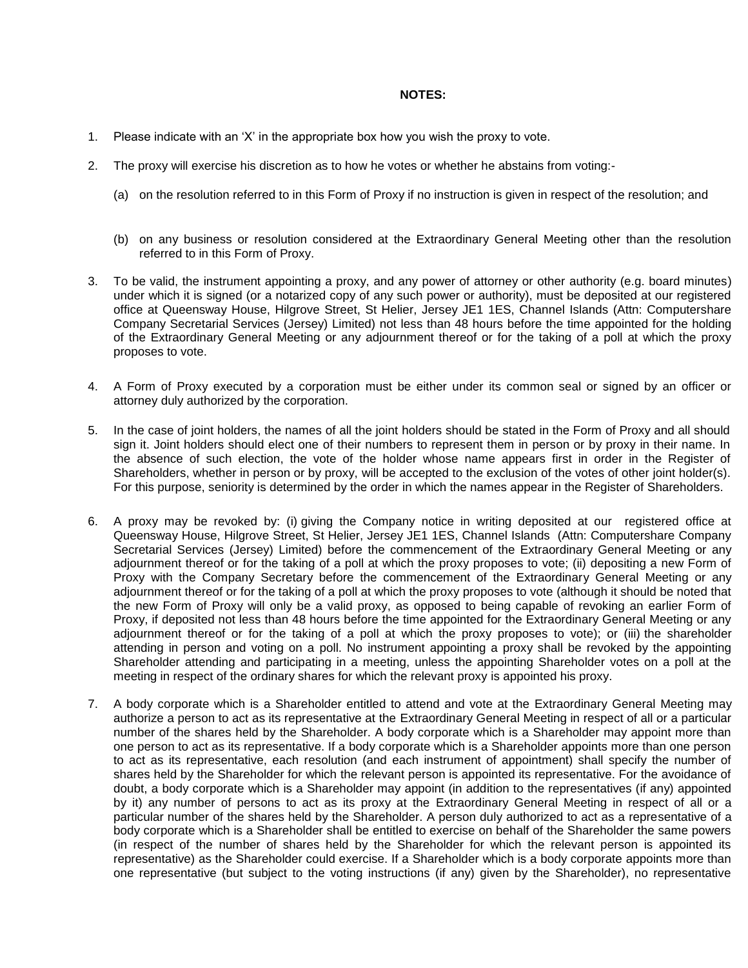### **NOTES:**

- 1. Please indicate with an "X" in the appropriate box how you wish the proxy to vote.
- 2. The proxy will exercise his discretion as to how he votes or whether he abstains from voting:-
	- (a) on the resolution referred to in this Form of Proxy if no instruction is given in respect of the resolution; and
	- (b) on any business or resolution considered at the Extraordinary General Meeting other than the resolution referred to in this Form of Proxy.
- 3. To be valid, the instrument appointing a proxy, and any power of attorney or other authority (e.g. board minutes) under which it is signed (or a notarized copy of any such power or authority), must be deposited at our registered office at Queensway House, Hilgrove Street, St Helier, Jersey JE1 1ES, Channel Islands (Attn: Computershare Company Secretarial Services (Jersey) Limited) not less than 48 hours before the time appointed for the holding of the Extraordinary General Meeting or any adjournment thereof or for the taking of a poll at which the proxy proposes to vote.
- 4. A Form of Proxy executed by a corporation must be either under its common seal or signed by an officer or attorney duly authorized by the corporation.
- 5. In the case of joint holders, the names of all the joint holders should be stated in the Form of Proxy and all should sign it. Joint holders should elect one of their numbers to represent them in person or by proxy in their name. In the absence of such election, the vote of the holder whose name appears first in order in the Register of Shareholders, whether in person or by proxy, will be accepted to the exclusion of the votes of other joint holder(s). For this purpose, seniority is determined by the order in which the names appear in the Register of Shareholders.
- 6. A proxy may be revoked by: (i) giving the Company notice in writing deposited at our registered office at Queensway House, Hilgrove Street, St Helier, Jersey JE1 1ES, Channel Islands (Attn: Computershare Company Secretarial Services (Jersey) Limited) before the commencement of the Extraordinary General Meeting or any adjournment thereof or for the taking of a poll at which the proxy proposes to vote; (ii) depositing a new Form of Proxy with the Company Secretary before the commencement of the Extraordinary General Meeting or any adjournment thereof or for the taking of a poll at which the proxy proposes to vote (although it should be noted that the new Form of Proxy will only be a valid proxy, as opposed to being capable of revoking an earlier Form of Proxy, if deposited not less than 48 hours before the time appointed for the Extraordinary General Meeting or any adjournment thereof or for the taking of a poll at which the proxy proposes to vote); or (iii) the shareholder attending in person and voting on a poll. No instrument appointing a proxy shall be revoked by the appointing Shareholder attending and participating in a meeting, unless the appointing Shareholder votes on a poll at the meeting in respect of the ordinary shares for which the relevant proxy is appointed his proxy.
- 7. A body corporate which is a Shareholder entitled to attend and vote at the Extraordinary General Meeting may authorize a person to act as its representative at the Extraordinary General Meeting in respect of all or a particular number of the shares held by the Shareholder. A body corporate which is a Shareholder may appoint more than one person to act as its representative. If a body corporate which is a Shareholder appoints more than one person to act as its representative, each resolution (and each instrument of appointment) shall specify the number of shares held by the Shareholder for which the relevant person is appointed its representative. For the avoidance of doubt, a body corporate which is a Shareholder may appoint (in addition to the representatives (if any) appointed by it) any number of persons to act as its proxy at the Extraordinary General Meeting in respect of all or a particular number of the shares held by the Shareholder. A person duly authorized to act as a representative of a body corporate which is a Shareholder shall be entitled to exercise on behalf of the Shareholder the same powers (in respect of the number of shares held by the Shareholder for which the relevant person is appointed its representative) as the Shareholder could exercise. If a Shareholder which is a body corporate appoints more than one representative (but subject to the voting instructions (if any) given by the Shareholder), no representative